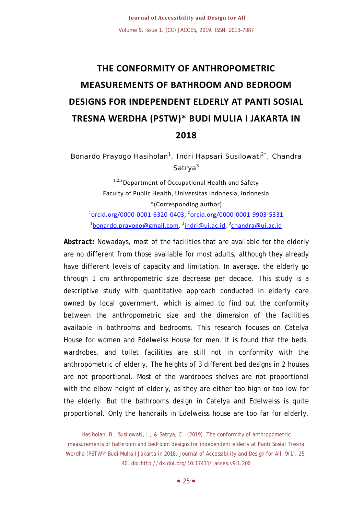# **THE CONFORMITY OF ANTHROPOMETRIC MEASUREMENTS OF BATHROOM AND BEDROOM DESIGNS FOR INDEPENDENT ELDERLY AT PANTI SOSIAL TRESNA WERDHA (PSTW)\* BUDI MULIA I JAKARTA IN 2018**

Bonardo Prayogo Hasiholan<sup>1</sup>, Indri Hapsari Susilowati<sup>2\*</sup>, Chandra Satrva<sup>3</sup>

 $1,2,3$  Department of Occupational Health and Safety Faculty of Public Health, Universitas Indonesia, Indonesia \*(Corresponding author) 1 [orcid.org/0000-0001-6320-0403,](http://orcid.org/0000-0001-6320-0403) <sup>2</sup> [orcid.org/0000-0001-9903-5331](http://orcid.org/0000-0001-9903-5331) <sup>1</sup>[bonardo.prayogo@gmail.com,](mailto:bonardo.prayogo@gmail.com) <sup>2</sup>[indri@ui.ac.id,](mailto:indri@ui.ac.id) <sup>3</sup>[chandra@ui.ac.id](mailto:chandra@ui.ac.id)

*Abstract***:** Nowadays, most of the facilities that are available for the elderly are no different from those available for most adults, although they already have different levels of capacity and limitation. In average, the elderly go through 1 cm anthropometric size decrease per decade. This study is a descriptive study with quantitative approach conducted in elderly care owned by local government, which is aimed to find out the conformity between the anthropometric size and the dimension of the facilities available in bathrooms and bedrooms. This research focuses on Catelya House for women and Edelweiss House for men. It is found that the beds, wardrobes, and toilet facilities are still not in conformity with the anthropometric of elderly. The heights of 3 different bed designs in 2 houses are not proportional. Most of the wardrobes shelves are not proportional with the elbow height of elderly, as they are either too high or too low for the elderly. But the bathrooms design in Catelya and Edelweiss is quite proportional. Only the handrails in Edelweiss house are too far for elderly,

Hasiholan, B., Susilowati, I., & Satrya, C. (2019). The conformity of anthropometric measurements of bathroom and bedroom designs for independent elderly at Panti Sosial Tresna Werdha (PSTW)\* Budi Mulia I Jakarta in 2018. Journal of Accessibility and Design for All, 9(1). 25-40. doi:http://dx.doi.org/10.17411/jacces.v9i1.200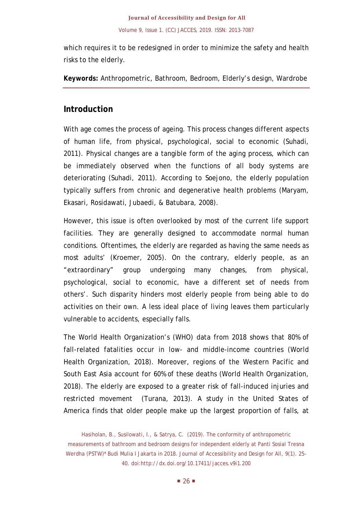which requires it to be redesigned in order to minimize the safety and health risks to the elderly.

*Keywords:* Anthropometric, Bathroom, Bedroom, Elderly's design, Wardrobe

# **Introduction**

With age comes the process of ageing. This process changes different aspects of human life, from physical, psychological, social to economic (Suhadi, 2011). Physical changes are a tangible form of the aging process, which can be immediately observed when the functions of all body systems are deteriorating (Suhadi, 2011). According to Soejono, the elderly population typically suffers from chronic and degenerative health problems (Maryam, Ekasari, Rosidawati, Jubaedi, & Batubara, 2008).

However, this issue is often overlooked by most of the current life support facilities. They are generally designed to accommodate normal human conditions. Oftentimes, the elderly are regarded as having the same needs as most adults' (Kroemer, 2005). On the contrary, elderly people, as an "extraordinary" group undergoing many changes, from physical, psychological, social to economic, have a different set of needs from others'. Such disparity hinders most elderly people from being able to do activities on their own. A less ideal place of living leaves them particularly vulnerable to accidents, especially falls.

The World Health Organization's (WHO) data from 2018 shows that 80% of fall-related fatalities occur in low- and middle-income countries (World Health Organization, 2018). Moreover, regions of the Western Pacific and South East Asia account for 60% of these deaths (World Health Organization, 2018). The elderly are exposed to a greater risk of fall-induced injuries and restricted movement (Turana, 2013). A study in the United States of America finds that older people make up the largest proportion of falls, at

Hasiholan, B., Susilowati, I., & Satrya, C. (2019). The conformity of anthropometric measurements of bathroom and bedroom designs for independent elderly at Panti Sosial Tresna Werdha (PSTW)\* Budi Mulia I Jakarta in 2018. Journal of Accessibility and Design for All, 9(1). 25-40. doi:http://dx.doi.org/10.17411/jacces.v9i1.200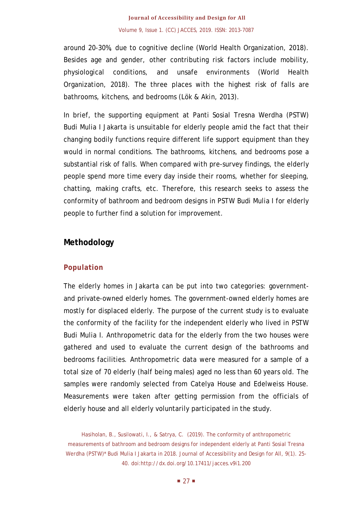# **Journal of Accessibility and Design for All** Volume 9, Issue 1. (CC) JACCES, 2019. ISSN: 2013-7087

around 20-30%, due to cognitive decline (World Health Organization, 2018). Besides age and gender, other contributing risk factors include mobility, physiological conditions, and unsafe environments (World Health Organization, 2018). The three places with the highest risk of falls are bathrooms, kitchens, and bedrooms (Lök & Akin, 2013).

In brief, the supporting equipment at Panti Sosial Tresna Werdha (PSTW) Budi Mulia I Jakarta is unsuitable for elderly people amid the fact that their changing bodily functions require different life support equipment than they would in normal conditions. The bathrooms, kitchens, and bedrooms pose a substantial risk of falls. When compared with pre-survey findings, the elderly people spend more time every day inside their rooms, whether for sleeping, chatting, making crafts, etc. Therefore, this research seeks to assess the conformity of bathroom and bedroom designs in PSTW Budi Mulia I for elderly people to further find a solution for improvement.

# **Methodology**

# **Population**

The elderly homes in Jakarta can be put into two categories: governmentand private-owned elderly homes. The government-owned elderly homes are mostly for displaced elderly. The purpose of the current study is to evaluate the conformity of the facility for the independent elderly who lived in PSTW Budi Mulia I. Anthropometric data for the elderly from the two houses were gathered and used to evaluate the current design of the bathrooms and bedrooms facilities. Anthropometric data were measured for a sample of a total size of 70 elderly (half being males) aged no less than 60 years old. The samples were randomly selected from Catelya House and Edelweiss House. Measurements were taken after getting permission from the officials of elderly house and all elderly voluntarily participated in the study.

Hasiholan, B., Susilowati, I., & Satrya, C. (2019). The conformity of anthropometric measurements of bathroom and bedroom designs for independent elderly at Panti Sosial Tresna Werdha (PSTW)\* Budi Mulia I Jakarta in 2018. Journal of Accessibility and Design for All, 9(1). 25-40. doi:http://dx.doi.org/10.17411/jacces.v9i1.200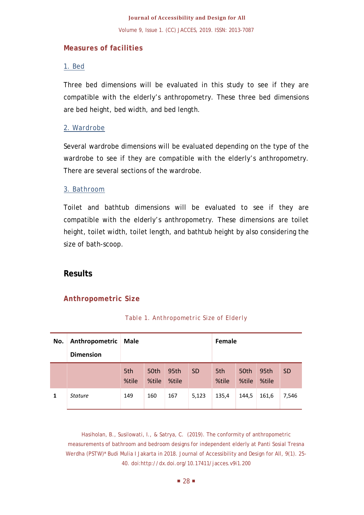#### **Measures of facilities**

### *1. Bed*

Three bed dimensions will be evaluated in this study to see if they are compatible with the elderly's anthropometry. These three bed dimensions are bed height, bed width, and bed length.

### *2. Wardrobe*

Several wardrobe dimensions will be evaluated depending on the type of the wardrobe to see if they are compatible with the elderly's anthropometry. There are several sections of the wardrobe.

#### *3. Bathroom*

Toilet and bathtub dimensions will be evaluated to see if they are compatible with the elderly's anthropometry. These dimensions are toilet height, toilet width, toilet length, and bathtub height by also considering the size of bath-scoop.

# **Results**

### **Anthropometric Size**

| No. | Anthropometric<br><b>Dimension</b> | Male         |               |               | Female    |              |               |               |           |
|-----|------------------------------------|--------------|---------------|---------------|-----------|--------------|---------------|---------------|-----------|
|     |                                    | 5th<br>%tile | 50th<br>%tile | 95th<br>%tile | <b>SD</b> | 5th<br>%tile | 50th<br>%tile | 95th<br>%tile | <b>SD</b> |
| 1   | <b>Stature</b>                     | 149          | 160           | 167           | 5,123     | 135,4        | 144.5         | 161,6         | 7,546     |

### *Table 1. Anthropometric Size of Elderly*

Hasiholan, B., Susilowati, I., & Satrya, C. (2019). The conformity of anthropometric measurements of bathroom and bedroom designs for independent elderly at Panti Sosial Tresna Werdha (PSTW)\* Budi Mulia I Jakarta in 2018. Journal of Accessibility and Design for All, 9(1). 25- 40. doi:http://dx.doi.org/10.17411/jacces.v9i1.200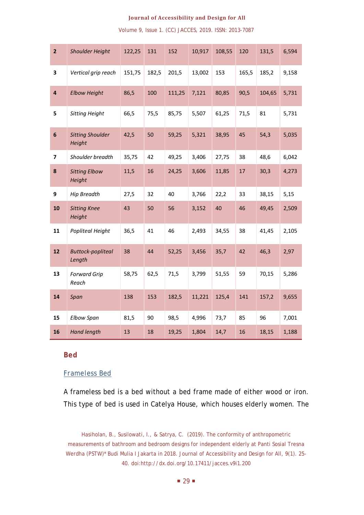*Shoulder Height* 122,25 131 152 10,917 108,55 120 131,5 6,594 *Vertical grip reach* 151,75 182,5 201,5 13,002 153 165,5 185,2 9,158 *Elbow Height* 86,5 100 111,25 7,121 80,85 90,5 104,65 5,731 *Sitting Height* 66,5 75,5 85,75 5,507 61,25 71,5 81 5,731 *Sitting Shoulder Height* 42,5 50 59,25 5,321 38,95 45 54,3 5,035 *Shoulder breadth* 35,75 42 49,25 3,406 27,75 38 48,6 6,042 *Sitting Elbow Height* 11,5 16 24,25 3,606 11,85 17 30,3 4,273 *Hip Breadth* 27,5 32 40 3,766 22,2 33 38,15 5,15 *Sitting Knee Height* 50 56 3,152 40 46 49,45 2,509 *Popliteal Height* 36,5 41 46 2,493 34,55 38 41,45 2,105 *Buttock-popliteal Length* 44 52,25 3,456 35,7 42 46,3 2,97 *Forward Grip Reach* 58,75 62,5 71,5 3,799 51,55 59 70,15 5,286 *Span* 138 153 182,5 11,221 125,4 141 157,2 9,655 *Elbow Span* 81,5 90 98,5 4,996 73,7 85 96 7,001 *Hand length* 13 18 19,25 1,804 14,7 16 18,15 1,188

Volume 9, Issue 1. (CC) JACCES, 2019. ISSN: 2013-7087

#### **Bed**

#### *Frameless Bed*

A frameless bed is a bed without a bed frame made of either wood or iron. This type of bed is used in Catelya House, which houses elderly women. The

Hasiholan, B., Susilowati, I., & Satrya, C. (2019). The conformity of anthropometric measurements of bathroom and bedroom designs for independent elderly at Panti Sosial Tresna Werdha (PSTW)\* Budi Mulia I Jakarta in 2018. Journal of Accessibility and Design for All, 9(1). 25-40. doi:http://dx.doi.org/10.17411/jacces.v9i1.200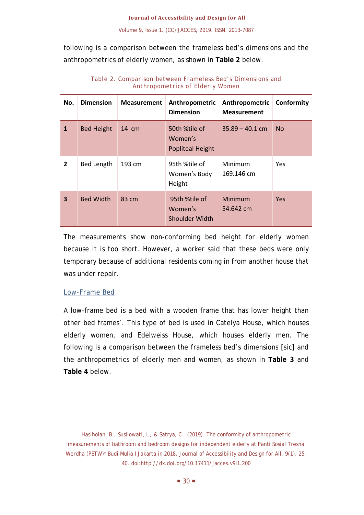following is a comparison between the frameless bed's dimensions and the anthropometrics of elderly women, as shown in **Table 2** below.

| No.            | <b>Dimension</b>  | <b>Measurement</b> | Anthropometric<br><b>Dimension</b>                  | Anthropometric<br><b>Measurement</b> | Conformity |
|----------------|-------------------|--------------------|-----------------------------------------------------|--------------------------------------|------------|
| $\mathbf{1}$   | <b>Bed Height</b> | $14 \text{ cm}$    | 50th %tile of<br>Women's<br><b>Popliteal Height</b> | $35.89 - 40.1$ cm                    | <b>No</b>  |
| $\overline{2}$ | <b>Bed Length</b> | 193 cm             | 95th %tile of<br>Women's Body<br>Height             | Minimum<br>169.146 cm                | Yes        |
| 3              | <b>Bed Width</b>  | 83 cm              | 95th %tile of<br>Women's<br><b>Shoulder Width</b>   | Minimum<br>54.642 cm                 | <b>Yes</b> |

*Table 2. Comparison between Frameless Bed's Dimensions and Anthropometrics of Elderly Women*

The measurements show non-conforming bed height for elderly women because it is too short. However, a worker said that these beds were only temporary because of additional residents coming in from another house that was under repair.

### *Low-Frame Bed*

A low-frame bed is a bed with a wooden frame that has lower height than other bed frames'. This type of bed is used in Catelya House, which houses elderly women, and Edelweiss House, which houses elderly men. The following is a comparison between the frameless bed's dimensions [*sic*] and the anthropometrics of elderly men and women, as shown in **Table 3** and **Table 4** below.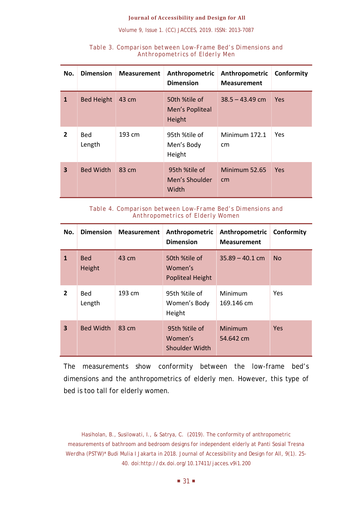Volume 9, Issue 1. (CC) JACCES, 2019. ISSN: 2013-7087

| No.                     | <b>Dimension</b>     | <b>Measurement</b> | Anthropometric<br><b>Dimension</b>         | Anthropometric<br><b>Measurement</b> | Conformity |
|-------------------------|----------------------|--------------------|--------------------------------------------|--------------------------------------|------------|
| $\mathbf{1}$            | <b>Bed Height</b>    | 43 cm              | 50th %tile of<br>Men's Popliteal<br>Height | $38.5 - 43.49$ cm                    | <b>Yes</b> |
| $\overline{2}$          | <b>Bed</b><br>Length | 193 cm             | 95th %tile of<br>Men's Body<br>Height      | Minimum 172.1<br>cm                  | <b>Yes</b> |
| $\overline{\mathbf{3}}$ | <b>Bed Width</b>     | 83 cm              | 95th %tile of<br>Men's Shoulder<br>Width   | Minimum 52.65<br>cm                  | <b>Yes</b> |

#### *Table 3. Comparison between Low-Frame Bed's Dimensions and Anthropometrics of Elderly Men*

*Table 4. Comparison between Low-Frame Bed's Dimensions and Anthropometrics of Elderly Women*

| No.            | <b>Dimension</b>     | <b>Measurement</b> | Anthropometric<br><b>Dimension</b>                  | Anthropometric<br><b>Measurement</b> | Conformity |
|----------------|----------------------|--------------------|-----------------------------------------------------|--------------------------------------|------------|
| $\mathbf{1}$   | <b>Bed</b><br>Height | 43 cm              | 50th %tile of<br>Women's<br><b>Popliteal Height</b> | $35.89 - 40.1$ cm                    | <b>No</b>  |
| $\overline{2}$ | <b>Bed</b><br>Length | 193 cm             | 95th %tile of<br>Women's Body<br>Height             | Minimum<br>169.146 cm                | Yes        |
| 3              | <b>Bed Width</b>     | $83 \text{ cm}$    | 95th %tile of<br>Women's<br>Shoulder Width          | Minimum<br>54.642 cm                 | Yes        |

The measurements show conformity between the low-frame bed's dimensions and the anthropometrics of elderly men. However, this type of bed is too tall for elderly women.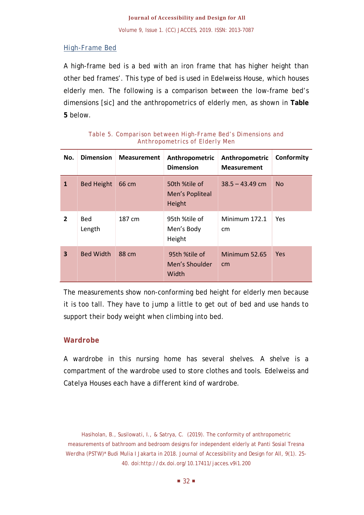# *High-Frame Bed*

A high-frame bed is a bed with an iron frame that has higher height than other bed frames'. This type of bed is used in Edelweiss House, which houses elderly men. The following is a comparison between the low-frame bed's dimensions [*sic*] and the anthropometrics of elderly men, as shown in **Table 5** below.

| No.            | <b>Dimension</b>     | <b>Measurement</b> | Anthropometric<br><b>Dimension</b>         | Anthropometric<br><b>Measurement</b> | Conformity |
|----------------|----------------------|--------------------|--------------------------------------------|--------------------------------------|------------|
| $\mathbf{1}$   | <b>Bed Height</b>    | 66 cm              | 50th %tile of<br>Men's Popliteal<br>Height | $38.5 - 43.49$ cm                    | <b>No</b>  |
| $\overline{2}$ | <b>Bed</b><br>Length | 187 cm             | 95th %tile of<br>Men's Body<br>Height      | Minimum 172.1<br>cm                  | <b>Yes</b> |
| 3              | <b>Bed Width</b>     | 88 cm              | 95th %tile of<br>Men's Shoulder<br>Width   | Minimum 52.65<br>cm                  | <b>Yes</b> |

#### *Table 5. Comparison between High-Frame Bed's Dimensions and Anthropometrics of Elderly Men*

The measurements show non-conforming bed height for elderly men because it is too tall. They have to jump a little to get out of bed and use hands to support their body weight when climbing into bed.

# **Wardrobe**

A wardrobe in this nursing home has several shelves. A shelve is a compartment of the wardrobe used to store clothes and tools. Edelweiss and Catelya Houses each have a different kind of wardrobe.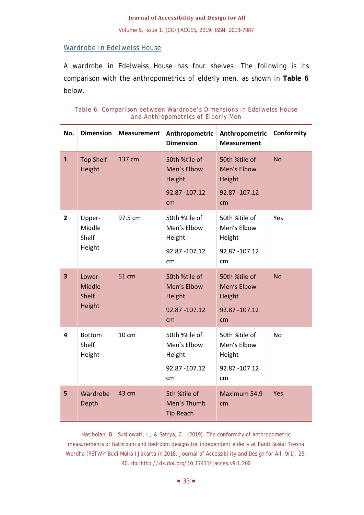### *Wardrobe in Edelweiss House*

A wardrobe in Edelweiss House has four shelves. The following is its comparison with the anthropometrics of elderly men, as shown in **Table 6** below.

| Table 6. Comparison between Wardrobe's Dimensions in Edelweiss House |                                    |  |  |  |
|----------------------------------------------------------------------|------------------------------------|--|--|--|
|                                                                      | and Anthropometrics of Elderly Men |  |  |  |

| No.                     | <b>Dimension</b>                           | <b>Measurement</b> | Anthropometric<br><b>Dimension</b>                             | Anthropometric<br><b>Measurement</b>                           | Conformity |
|-------------------------|--------------------------------------------|--------------------|----------------------------------------------------------------|----------------------------------------------------------------|------------|
| $\mathbf{1}$            | <b>Top Shelf</b><br>Height                 | 137 cm             | 50th %tile of<br>Men's Elbow<br>Height<br>92.87 - 107.12<br>cm | 50th %tile of<br>Men's Elbow<br>Height<br>92.87 - 107.12<br>cm | <b>No</b>  |
| $\overline{2}$          | Upper-<br>Middle<br>Shelf<br>Height        | 97.5 cm            | 50th %tile of<br>Men's Elbow<br>Height<br>92.87 - 107.12<br>cm | 50th %tile of<br>Men's Elbow<br>Height<br>92.87 - 107.12<br>cm | Yes        |
| $\overline{\mathbf{3}}$ | Lower-<br>Middle<br><b>Shelf</b><br>Height | 51 cm              | 50th %tile of<br>Men's Elbow<br>Height<br>92.87 - 107.12<br>cm | 50th %tile of<br>Men's Elbow<br>Height<br>92.87 - 107.12<br>cm | <b>No</b>  |
| $\overline{\mathbf{4}}$ | <b>Bottom</b><br>Shelf<br>Height           | 10 cm              | 50th %tile of<br>Men's Elbow<br>Height<br>92.87 - 107.12<br>cm | 50th %tile of<br>Men's Elbow<br>Height<br>92.87 - 107.12<br>cm | <b>No</b>  |
| 5                       | Wardrobe<br>Depth                          | 43 cm              | 5th %tile of<br>Men's Thumb<br><b>Tip Reach</b>                | Maximum 54.9<br>cm                                             | Yes        |

Hasiholan, B., Susilowati, I., & Satrya, C. (2019). The conformity of anthropometric measurements of bathroom and bedroom designs for independent elderly at Panti Sosial Tresna Werdha (PSTW)\* Budi Mulia I Jakarta in 2018. Journal of Accessibility and Design for All, 9(1). 25-40. doi:http://dx.doi.org/10.17411/jacces.v9i1.200

 $\blacksquare$  33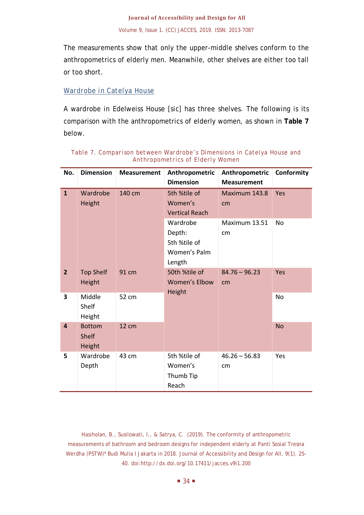The measurements show that only the upper-middle shelves conform to the anthropometrics of elderly men. Meanwhile, other shelves are either too tall or too short.

# *Wardrobe in Catelya House*

A wardrobe in Edelweiss House [*sic*] has three shelves. The following is its comparison with the anthropometrics of elderly women, as shown in **Table 7** below.

| No.                     | <b>Dimension</b> | <b>Measurement</b> | Anthropometric        | Anthropometric     | Conformity |
|-------------------------|------------------|--------------------|-----------------------|--------------------|------------|
|                         |                  |                    | <b>Dimension</b>      | <b>Measurement</b> |            |
| $\mathbf{1}$            | Wardrobe         | 140 cm             | 5th %tile of          | Maximum 143.8      | Yes        |
|                         | Height           |                    | Women's               | cm                 |            |
|                         |                  |                    | <b>Vertical Reach</b> |                    |            |
|                         |                  |                    | Wardrobe              | Maximum 13.51      | No         |
|                         |                  |                    | Depth:                | cm                 |            |
|                         |                  |                    | 5th %tile of          |                    |            |
|                         |                  |                    | Women's Palm          |                    |            |
|                         |                  |                    | Length                |                    |            |
| $\overline{2}$          | <b>Top Shelf</b> | 91 cm              | 50th %tile of         | $84.76 - 96.23$    | Yes        |
|                         | Height           |                    | <b>Women's Elbow</b>  | cm                 |            |
| 3                       | Middle           | 52 cm              | Height                |                    | <b>No</b>  |
|                         | Shelf            |                    |                       |                    |            |
|                         | Height           |                    |                       |                    |            |
| $\overline{\mathbf{4}}$ | <b>Bottom</b>    | <b>12 cm</b>       |                       |                    | <b>No</b>  |
|                         | <b>Shelf</b>     |                    |                       |                    |            |
|                         | Height           |                    |                       |                    |            |
| 5                       | Wardrobe         | 43 cm              | 5th %tile of          | $46.26 - 56.83$    | Yes        |
|                         | Depth            |                    | Women's               | cm                 |            |
|                         |                  |                    | Thumb Tip             |                    |            |
|                         |                  |                    | Reach                 |                    |            |

*Table 7. Comparison between Wardrobe's Dimensions in Catelya House and Anthropometrics of Elderly Women*

Hasiholan, B., Susilowati, I., & Satrya, C. (2019). The conformity of anthropometric measurements of bathroom and bedroom designs for independent elderly at Panti Sosial Tresna Werdha (PSTW)\* Budi Mulia I Jakarta in 2018. Journal of Accessibility and Design for All, 9(1). 25-40. doi:http://dx.doi.org/10.17411/jacces.v9i1.200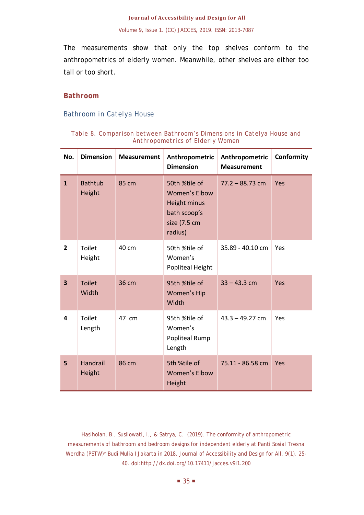The measurements show that only the top shelves conform to the anthropometrics of elderly women. Meanwhile, other shelves are either too tall or too short.

### **Bathroom**

### *Bathroom in Catelya House*

| No.                     | <b>Dimension</b>          | <b>Measurement</b> | Anthropometric<br><b>Dimension</b>                                                               | Anthropometric<br><b>Measurement</b> | Conformity |
|-------------------------|---------------------------|--------------------|--------------------------------------------------------------------------------------------------|--------------------------------------|------------|
| $\mathbf{1}$            | <b>Bathtub</b><br>Height  | 85 cm              | 50th %tile of<br><b>Women's Elbow</b><br>Height minus<br>bath scoop's<br>size (7.5 cm<br>radius) | $77.2 - 88.73$ cm                    | Yes        |
| $\overline{2}$          | Toilet<br>Height          | 40 cm              | 50th %tile of<br>Women's<br>Popliteal Height                                                     | 35.89 - 40.10 cm                     | Yes        |
| $\overline{\mathbf{3}}$ | <b>Toilet</b><br>Width    | 36 cm              | 95th %tile of<br>Women's Hip<br>Width                                                            | $33 - 43.3$ cm                       | Yes        |
| 4                       | Toilet<br>Length          | 47 cm              | 95th %tile of<br>Women's<br>Popliteal Rump<br>Length                                             | $43.3 - 49.27$ cm                    | Yes        |
| 5                       | <b>Handrail</b><br>Height | 86 cm              | 5th %tile of<br><b>Women's Elbow</b><br>Height                                                   | 75.11 - 86.58 cm                     | Yes        |

#### *Table 8. Comparison between Bathroom's Dimensions in Catelya House and Anthropometrics of Elderly Women*

Hasiholan, B., Susilowati, I., & Satrya, C. (2019). The conformity of anthropometric measurements of bathroom and bedroom designs for independent elderly at Panti Sosial Tresna Werdha (PSTW)\* Budi Mulia I Jakarta in 2018. Journal of Accessibility and Design for All, 9(1). 25-40. doi:http://dx.doi.org/10.17411/jacces.v9i1.200

 $\blacksquare$  35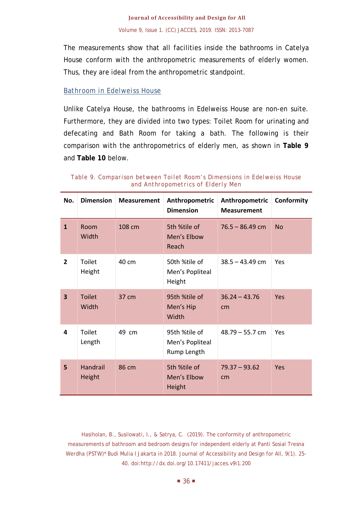The measurements show that all facilities inside the bathrooms in Catelya House conform with the anthropometric measurements of elderly women. Thus, they are ideal from the anthropometric standpoint.

# *Bathroom in Edelweiss House*

Unlike Catelya House, the bathrooms in Edelweiss House are non-en suite. Furthermore, they are divided into two types: Toilet Room for urinating and defecating and Bath Room for taking a bath. The following is their comparison with the anthropometrics of elderly men, as shown in **Table 9** and **Table 10** below.

| No.                     | <b>Dimension</b>        | <b>Measurement</b> | Anthropometric<br><b>Dimension</b>              | Anthropometric<br><b>Measurement</b> | Conformity |
|-------------------------|-------------------------|--------------------|-------------------------------------------------|--------------------------------------|------------|
| $\mathbf{1}$            | Room<br>Width           | 108 cm             | 5th %tile of<br>Men's Elbow<br>Reach            | $76.5 - 86.49$ cm                    | <b>No</b>  |
| $\overline{2}$          | <b>Toilet</b><br>Height | 40 cm              | 50th %tile of<br>Men's Popliteal<br>Height      | $38.5 - 43.49$ cm                    | Yes        |
| $\overline{\mathbf{3}}$ | <b>Toilet</b><br>Width  | 37 cm              | 95th %tile of<br>Men's Hip<br>Width             | $36.24 - 43.76$<br>cm                | Yes        |
| 4                       | Toilet<br>Length        | 49 cm              | 95th %tile of<br>Men's Popliteal<br>Rump Length | $48.79 - 55.7$ cm                    | Yes        |
| 5                       | Handrail<br>Height      | 86 cm              | 5th %tile of<br>Men's Elbow<br>Height           | $79.37 - 93.62$<br>cm                | Yes        |

*Table 9. Comparison between Toilet Room's Dimensions in Edelweiss House and Anthropometrics of Elderly Men*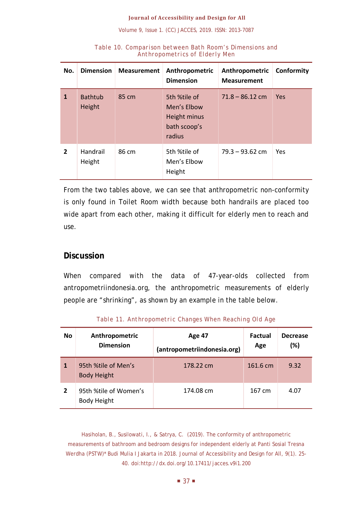| No.            | <b>Dimension</b>         | <b>Measurement</b> | Anthropometric<br><b>Dimension</b>                                    | Anthropometric<br><b>Measurement</b> | Conformity |
|----------------|--------------------------|--------------------|-----------------------------------------------------------------------|--------------------------------------|------------|
| 1              | <b>Bathtub</b><br>Height | 85 cm              | 5th %tile of<br>Men's Elbow<br>Height minus<br>bath scoop's<br>radius | $71.8 - 86.12$ cm                    | Yes        |
| $\overline{2}$ | Handrail<br>Height       | 86 cm              | 5th %tile of<br>Men's Elbow<br>Height                                 | $79.3 - 93.62$ cm                    | Yes        |

#### *Table 10. Comparison between Bath Room's Dimensions and Anthropometrics of Elderly Men*

From the two tables above, we can see that anthropometric non-conformity is only found in Toilet Room width because both handrails are placed too wide apart from each other, making it difficult for elderly men to reach and use.

# **Discussion**

When compared with the data of 47-year-olds collected from antropometriindonesia.org, the anthropometric measurements of elderly people are "shrinking", as shown by an example in the table below.

| <b>No</b>      | Anthropometric<br><b>Dimension</b>          | Age 47<br>(antropometriindonesia.org) | <b>Factual</b><br>Age | <b>Decrease</b><br>(%) |
|----------------|---------------------------------------------|---------------------------------------|-----------------------|------------------------|
| 1              | 95th %tile of Men's<br><b>Body Height</b>   | 178.22 cm                             | 161.6 cm              | 9.32                   |
| $\overline{2}$ | 95th %tile of Women's<br><b>Body Height</b> | 174.08 cm                             | 167 cm                | 4.07                   |

*Table 11. Anthropometric Changes When Reaching Old Age*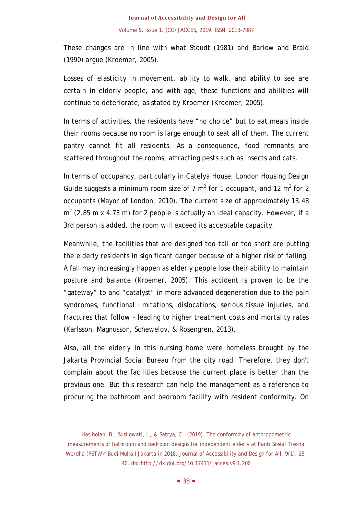These changes are in line with what Stoudt (1981) and Barlow and Braid (1990) argue (Kroemer, 2005).

Losses of elasticity in movement, ability to walk, and ability to see are certain in elderly people, and with age, these functions and abilities will continue to deteriorate, as stated by Kroemer (Kroemer, 2005).

In terms of activities, the residents have "no choice" but to eat meals inside their rooms because no room is large enough to seat all of them. The current pantry cannot fit all residents. As a consequence, food remnants are scattered throughout the rooms, attracting pests such as insects and cats.

In terms of occupancy, particularly in Catelya House, *London Housing Design Guide* suggests a minimum room size of 7  $m^2$  for 1 occupant, and 12  $m^2$  for 2 occupants (Mayor of London, 2010). The current size of approximately 13.48  $m<sup>2</sup>$  (2.85 m x 4.73 m) for 2 people is actually an ideal capacity. However, if a 3rd person is added, the room will exceed its acceptable capacity.

Meanwhile, the facilities that are designed too tall or too short are putting the elderly residents in significant danger because of a higher risk of falling. A fall may increasingly happen as elderly people lose their ability to maintain posture and balance (Kroemer, 2005). This accident is proven to be the "gateway" to and "catalyst" in more advanced degeneration due to the pain syndromes, functional limitations, dislocations, serious tissue injuries, and fractures that follow – leading to higher treatment costs and mortality rates (Karlsson, Magnusson, Schewelov, & Rosengren, 2013).

Also, all the elderly in this nursing home were homeless brought by the Jakarta Provincial Social Bureau from the city road. Therefore, they don't complain about the facilities because the current place is better than the previous one. But this research can help the management as a reference to procuring the bathroom and bedroom facility with resident conformity. On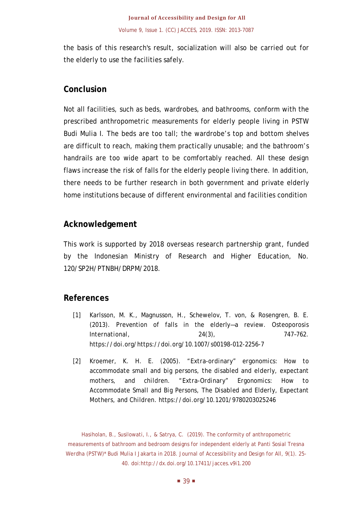the basis of this research's result, socialization will also be carried out for the elderly to use the facilities safely.

# **Conclusion**

Not all facilities, such as beds, wardrobes, and bathrooms, conform with the prescribed anthropometric measurements for elderly people living in PSTW Budi Mulia I. The beds are too tall; the wardrobe's top and bottom shelves are difficult to reach, making them practically unusable; and the bathroom's handrails are too wide apart to be comfortably reached. All these design flaws increase the risk of falls for the elderly people living there. In addition, there needs to be further research in both government and private elderly home institutions because of different environmental and facilities condition

# **Acknowledgement**

This work is supported by 2018 overseas research partnership grant, funded by the Indonesian Ministry of Research and Higher Education, No. 120/SP2H/PTNBH/DRPM/2018.

# **References**

- [1] Karlsson, M. K., Magnusson, H., Schewelov, T. von, & Rosengren, B. E. (2013). Prevention of falls in the elderly—a review. *Osteoporosis International*, *24*(3), 747–762. https://doi.org/https://doi.org/10.1007/s00198-012-2256-7
- [2] Kroemer, K. H. E. (2005). *"Extra-ordinary" ergonomics: How to accommodate small and big persons, the disabled and elderly, expectant mothers, and children*. *"Extra-Ordinary" Ergonomics: How to Accommodate Small and Big Persons, The Disabled and Elderly, Expectant Mothers, and Children*. https://doi.org/10.1201/9780203025246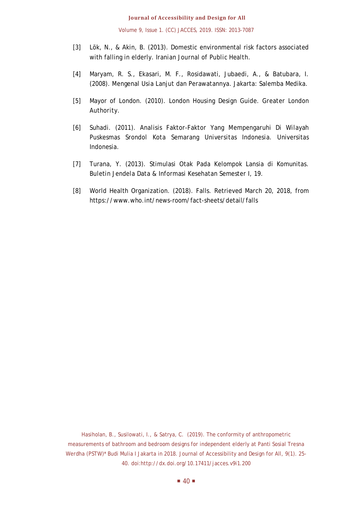Volume 9, Issue 1. (CC) JACCES, 2019. ISSN: 2013-7087

- [3] Lök, N., & Akin, B. (2013). Domestic environmental risk factors associated with falling in elderly. *Iranian Journal of Public Health*.
- [4] Maryam, R. S., Ekasari, M. F., Rosidawati, Jubaedi, A., & Batubara, I. (2008). *Mengenal Usia Lanjut dan Perawatannya*. Jakarta: Salemba Medika.
- [5] Mayor of London. (2010). London Housing Design Guide. *Greater London Authority*.
- [6] Suhadi. (2011). *Analisis Faktor-Faktor Yang Mempengaruhi Di Wilayah Puskesmas Srondol Kota Semarang Universitas Indonesia*. Universitas Indonesia.
- [7] Turana, Y. (2013). Stimulasi Otak Pada Kelompok Lansia di Komunitas. *Buletin Jendela Data & Informasi Kesehatan Semester I*, 19.
- [8] World Health Organization. (2018). Falls. Retrieved March 20, 2018, from https://www.who.int/news-room/fact-sheets/detail/falls